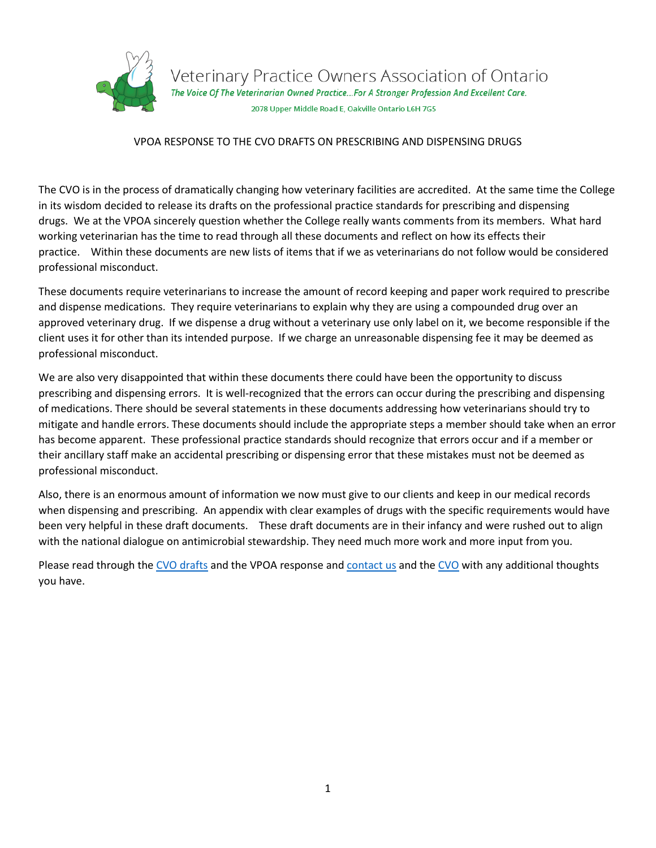

Veterinary Practice Owners Association of Ontario<br>The Voice of The Veterinarian Owned Practice...For A Stronger Profession And Excellent Care.

2078 Upper Middle Road E, Oakville Ontario L6H 7G5

# VPOA RESPONSE TO THE CVO DRAFTS ON PRESCRIBING AND DISPENSING DRUGS

The CVO is in the process of dramatically changing how veterinary facilities are accredited. At the same time the College in its wisdom decided to release its drafts on the professional practice standards for prescribing and dispensing drugs. We at the VPOA sincerely question whether the College really wants comments from its members. What hard working veterinarian has the time to read through all these documents and reflect on how its effects their practice. Within these documents are new lists of items that if we as veterinarians do not follow would be considered professional misconduct.

These documents require veterinarians to increase the amount of record keeping and paper work required to prescribe and dispense medications. They require veterinarians to explain why they are using a compounded drug over an approved veterinary drug. If we dispense a drug without a veterinary use only label on it, we become responsible if the client uses it for other than its intended purpose. If we charge an unreasonable dispensing fee it may be deemed as professional misconduct.

We are also very disappointed that within these documents there could have been the opportunity to discuss prescribing and dispensing errors. It is well-recognized that the errors can occur during the prescribing and dispensing of medications. There should be several statements in these documents addressing how veterinarians should try to mitigate and handle errors. These documents should include the appropriate steps a member should take when an error has become apparent. These professional practice standards should recognize that errors occur and if a member or their ancillary staff make an accidental prescribing or dispensing error that these mistakes must not be deemed as professional misconduct.

Also, there is an enormous amount of information we now must give to our clients and keep in our medical records when dispensing and prescribing. An appendix with clear examples of drugs with the specific requirements would have been very helpful in these draft documents. These draft documents are in their infancy and were rushed out to align with the national dialogue on antimicrobial stewardship. They need much more work and more input from you.

Please read through the CVO [drafts](https://cvo.org/For-the-Public/Public-Consultations.aspx) and the VPOA response and [contact us](http://vpoa.ca/contact-us/) and the [CVO](mailto:president@cvo.org?subject=Response%20to%20CVO%20drafts%20on%20Prescribing%20and%20Dispensing) with any additional thoughts you have.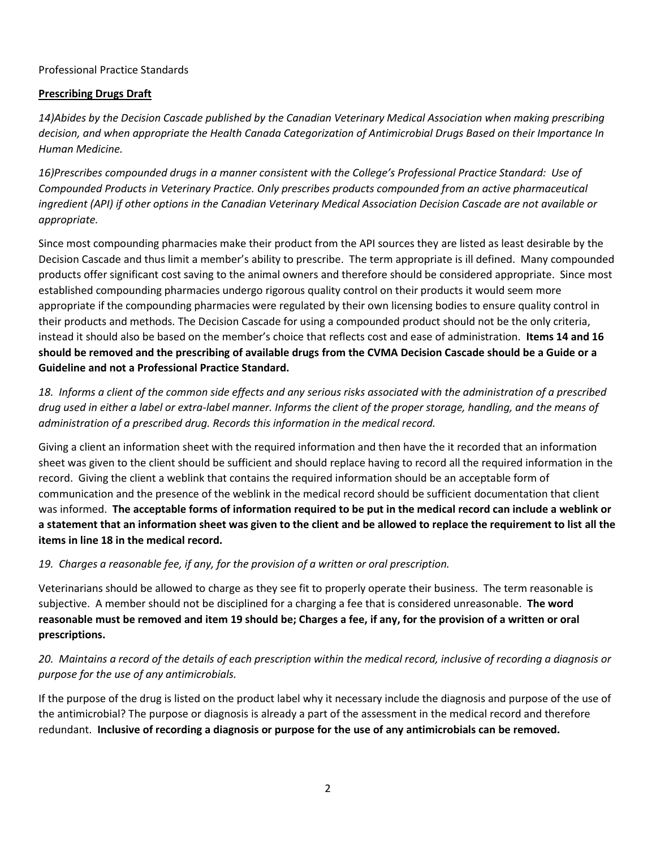# Professional Practice Standards

# **Prescribing Drugs Draft**

*14)Abides by the Decision Cascade published by the Canadian Veterinary Medical Association when making prescribing decision, and when appropriate the Health Canada Categorization of Antimicrobial Drugs Based on their Importance In Human Medicine.*

*16)Prescribes compounded drugs in a manner consistent with the College's Professional Practice Standard: Use of Compounded Products in Veterinary Practice. Only prescribes products compounded from an active pharmaceutical ingredient (API) if other options in the Canadian Veterinary Medical Association Decision Cascade are not available or appropriate.*

Since most compounding pharmacies make their product from the API sources they are listed as least desirable by the Decision Cascade and thus limit a member's ability to prescribe. The term appropriate is ill defined. Many compounded products offer significant cost saving to the animal owners and therefore should be considered appropriate. Since most established compounding pharmacies undergo rigorous quality control on their products it would seem more appropriate if the compounding pharmacies were regulated by their own licensing bodies to ensure quality control in their products and methods. The Decision Cascade for using a compounded product should not be the only criteria, instead it should also be based on the member's choice that reflects cost and ease of administration. **Items 14 and 16 should be removed and the prescribing of available drugs from the CVMA Decision Cascade should be a Guide or a Guideline and not a Professional Practice Standard.**

*18. Informs a client of the common side effects and any serious risks associated with the administration of a prescribed drug used in either a label or extra-label manner. Informs the client of the proper storage, handling, and the means of administration of a prescribed drug. Records this information in the medical record.* 

Giving a client an information sheet with the required information and then have the it recorded that an information sheet was given to the client should be sufficient and should replace having to record all the required information in the record. Giving the client a weblink that contains the required information should be an acceptable form of communication and the presence of the weblink in the medical record should be sufficient documentation that client was informed. **The acceptable forms of information required to be put in the medical record can include a weblink or a statement that an information sheet was given to the client and be allowed to replace the requirement to list all the items in line 18 in the medical record.** 

*19. Charges a reasonable fee, if any, for the provision of a written or oral prescription.* 

Veterinarians should be allowed to charge as they see fit to properly operate their business. The term reasonable is subjective. A member should not be disciplined for a charging a fee that is considered unreasonable. **The word reasonable must be removed and item 19 should be; Charges a fee, if any, for the provision of a written or oral prescriptions.** 

# *20. Maintains a record of the details of each prescription within the medical record, inclusive of recording a diagnosis or purpose for the use of any antimicrobials.*

If the purpose of the drug is listed on the product label why it necessary include the diagnosis and purpose of the use of the antimicrobial? The purpose or diagnosis is already a part of the assessment in the medical record and therefore redundant. **Inclusive of recording a diagnosis or purpose for the use of any antimicrobials can be removed.**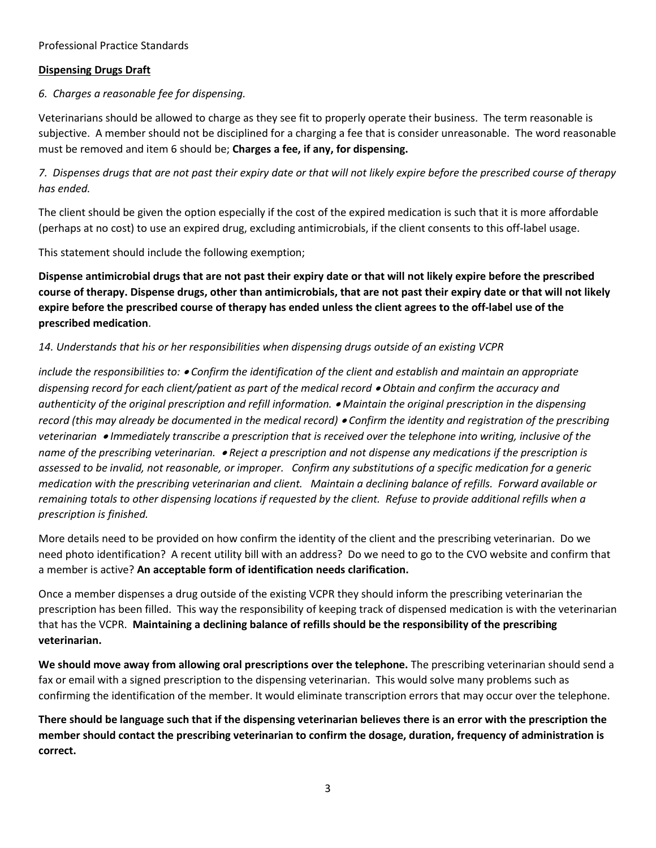### Professional Practice Standards

### **Dispensing Drugs Draft**

# *6. Charges a reasonable fee for dispensing.*

Veterinarians should be allowed to charge as they see fit to properly operate their business. The term reasonable is subjective. A member should not be disciplined for a charging a fee that is consider unreasonable. The word reasonable must be removed and item 6 should be; **Charges a fee, if any, for dispensing.** 

*7. Dispenses drugs that are not past their expiry date or that will not likely expire before the prescribed course of therapy has ended.* 

The client should be given the option especially if the cost of the expired medication is such that it is more affordable (perhaps at no cost) to use an expired drug, excluding antimicrobials, if the client consents to this off-label usage.

This statement should include the following exemption;

**Dispense antimicrobial drugs that are not past their expiry date or that will not likely expire before the prescribed course of therapy. Dispense drugs, other than antimicrobials, that are not past their expiry date or that will not likely expire before the prescribed course of therapy has ended unless the client agrees to the off-label use of the prescribed medication**.

## *14. Understands that his or her responsibilities when dispensing drugs outside of an existing VCPR*

*include the responsibilities to: Confirm the identification of the client and establish and maintain an appropriate dispensing record for each client/patient as part of the medical record Obtain and confirm the accuracy and authenticity of the original prescription and refill information. Maintain the original prescription in the dispensing record (this may already be documented in the medical record) Confirm the identity and registration of the prescribing veterinarian Immediately transcribe a prescription that is received over the telephone into writing, inclusive of the name of the prescribing veterinarian. Reject a prescription and not dispense any medications if the prescription is assessed to be invalid, not reasonable, or improper. Confirm any substitutions of a specific medication for a generic medication with the prescribing veterinarian and client. Maintain a declining balance of refills. Forward available or remaining totals to other dispensing locations if requested by the client. Refuse to provide additional refills when a prescription is finished.* 

More details need to be provided on how confirm the identity of the client and the prescribing veterinarian. Do we need photo identification? A recent utility bill with an address? Do we need to go to the CVO website and confirm that a member is active? **An acceptable form of identification needs clarification.** 

Once a member dispenses a drug outside of the existing VCPR they should inform the prescribing veterinarian the prescription has been filled. This way the responsibility of keeping track of dispensed medication is with the veterinarian that has the VCPR. **Maintaining a declining balance of refills should be the responsibility of the prescribing veterinarian.**

**We should move away from allowing oral prescriptions over the telephone.** The prescribing veterinarian should send a fax or email with a signed prescription to the dispensing veterinarian. This would solve many problems such as confirming the identification of the member. It would eliminate transcription errors that may occur over the telephone.

**There should be language such that if the dispensing veterinarian believes there is an error with the prescription the member should contact the prescribing veterinarian to confirm the dosage, duration, frequency of administration is correct.**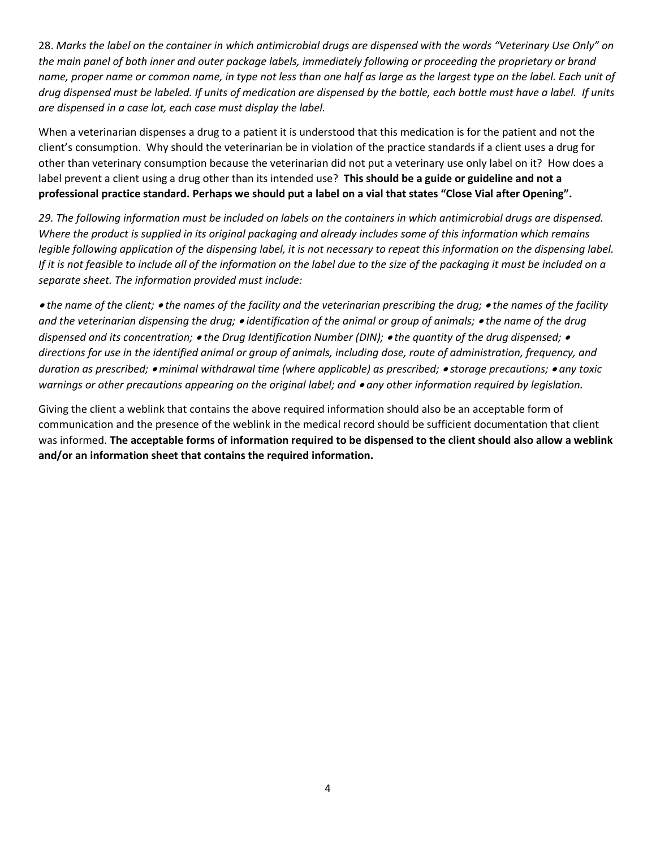28. *Marks the label on the container in which antimicrobial drugs are dispensed with the words "Veterinary Use Only" on the main panel of both inner and outer package labels, immediately following or proceeding the proprietary or brand name, proper name or common name, in type not less than one half as large as the largest type on the label. Each unit of drug dispensed must be labeled. If units of medication are dispensed by the bottle, each bottle must have a label. If units are dispensed in a case lot, each case must display the label.*

When a veterinarian dispenses a drug to a patient it is understood that this medication is for the patient and not the client's consumption. Why should the veterinarian be in violation of the practice standards if a client uses a drug for other than veterinary consumption because the veterinarian did not put a veterinary use only label on it? How does a label prevent a client using a drug other than its intended use? **This should be a guide or guideline and not a professional practice standard. Perhaps we should put a label on a vial that states "Close Vial after Opening".** 

*29. The following information must be included on labels on the containers in which antimicrobial drugs are dispensed. Where the product is supplied in its original packaging and already includes some of this information which remains legible following application of the dispensing label, it is not necessary to repeat this information on the dispensing label. If it is not feasible to include all of the information on the label due to the size of the packaging it must be included on a separate sheet. The information provided must include:* 

 *the name of the client; the names of the facility and the veterinarian prescribing the drug; the names of the facility and the veterinarian dispensing the drug; identification of the animal or group of animals; the name of the drug dispensed and its concentration; the Drug Identification Number (DIN); the quantity of the drug dispensed; directions for use in the identified animal or group of animals, including dose, route of administration, frequency, and duration as prescribed; minimal withdrawal time (where applicable) as prescribed; storage precautions; any toxic warnings or other precautions appearing on the original label; and ● any other information required by legislation.* 

Giving the client a weblink that contains the above required information should also be an acceptable form of communication and the presence of the weblink in the medical record should be sufficient documentation that client was informed. **The acceptable forms of information required to be dispensed to the client should also allow a weblink and/or an information sheet that contains the required information.**